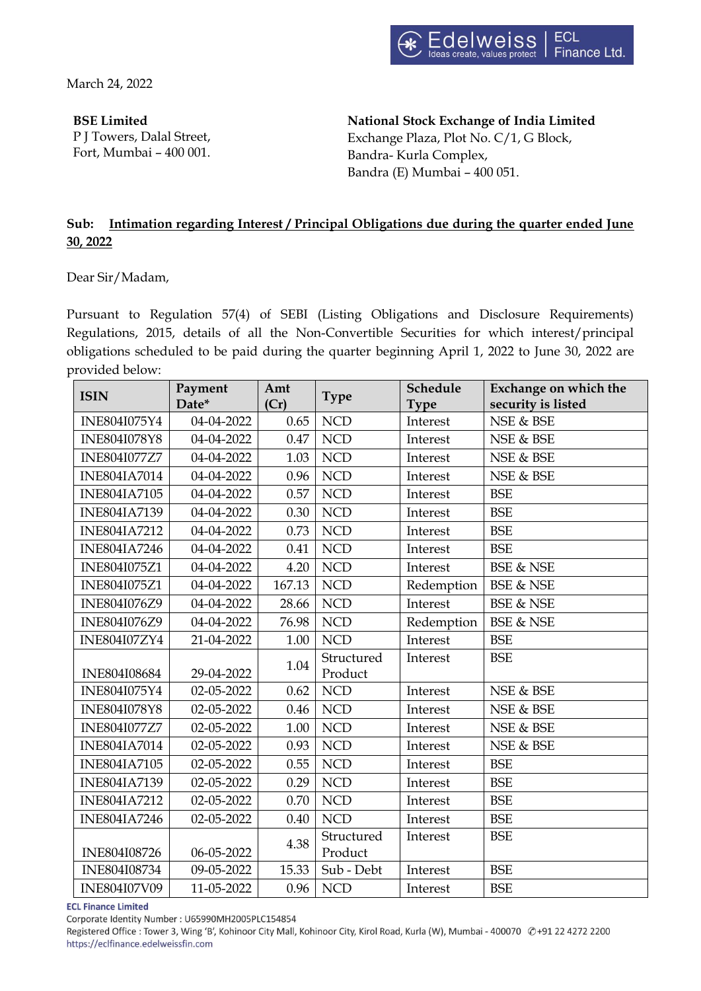March 24, 2022

**BSE Limited**

P J Towers, Dalal Street, Fort, Mumbai – 400 001.

**National Stock Exchange of India Limited** Exchange Plaza, Plot No. C/1, G Block, Bandra- Kurla Complex, Bandra (E) Mumbai – 400 051.

# **Sub: Intimation regarding Interest / Principal Obligations due during the quarter ended June 30, 2022**

Dear Sir/Madam,

Pursuant to Regulation 57(4) of SEBI (Listing Obligations and Disclosure Requirements) Regulations, 2015, details of all the Non-Convertible Securities for which interest/principal obligations scheduled to be paid during the quarter beginning April 1, 2022 to June 30, 2022 are provided below:

| <b>ISIN</b>         | Payment<br>Date* | Amt<br>(Cr) | <b>Type</b> | Schedule<br><b>Type</b> | Exchange on which the<br>security is listed |
|---------------------|------------------|-------------|-------------|-------------------------|---------------------------------------------|
| INE804I075Y4        | 04-04-2022       | 0.65        | <b>NCD</b>  | Interest                | NSE & BSE                                   |
| <b>INE804I078Y8</b> | 04-04-2022       | 0.47        | <b>NCD</b>  | Interest                | NSE & BSE                                   |
| <b>INE804I077Z7</b> | 04-04-2022       | 1.03        | <b>NCD</b>  | Interest                | NSE & BSE                                   |
| <b>INE804IA7014</b> | 04-04-2022       | 0.96        | <b>NCD</b>  | Interest                | NSE & BSE                                   |
| <b>INE804IA7105</b> | 04-04-2022       | 0.57        | <b>NCD</b>  | Interest                | <b>BSE</b>                                  |
| <b>INE804IA7139</b> | 04-04-2022       | 0.30        | <b>NCD</b>  | Interest                | <b>BSE</b>                                  |
| <b>INE804IA7212</b> | 04-04-2022       | 0.73        | <b>NCD</b>  | Interest                | <b>BSE</b>                                  |
| <b>INE804IA7246</b> | 04-04-2022       | 0.41        | <b>NCD</b>  | Interest                | <b>BSE</b>                                  |
| INE804I075Z1        | 04-04-2022       | 4.20        | <b>NCD</b>  | Interest                | <b>BSE &amp; NSE</b>                        |
| INE804I075Z1        | 04-04-2022       | 167.13      | <b>NCD</b>  | Redemption              | <b>BSE &amp; NSE</b>                        |
| INE804I076Z9        | 04-04-2022       | 28.66       | <b>NCD</b>  | Interest                | <b>BSE &amp; NSE</b>                        |
| INE804I076Z9        | 04-04-2022       | 76.98       | <b>NCD</b>  | Redemption              | <b>BSE &amp; NSE</b>                        |
| <b>INE804I07ZY4</b> | 21-04-2022       | 1.00        | <b>NCD</b>  | Interest                | <b>BSE</b>                                  |
|                     |                  | 1.04        | Structured  | Interest                | <b>BSE</b>                                  |
| INE804I08684        | 29-04-2022       |             | Product     |                         |                                             |
| INE804I075Y4        | 02-05-2022       | 0.62        | <b>NCD</b>  | Interest                | NSE & BSE                                   |
| INE804I078Y8        | 02-05-2022       | 0.46        | <b>NCD</b>  | Interest                | NSE & BSE                                   |
| INE804I077Z7        | 02-05-2022       | 1.00        | <b>NCD</b>  | Interest                | NSE & BSE                                   |
| <b>INE804IA7014</b> | 02-05-2022       | 0.93        | <b>NCD</b>  | Interest                | NSE & BSE                                   |
| <b>INE804IA7105</b> | 02-05-2022       | 0.55        | <b>NCD</b>  | Interest                | <b>BSE</b>                                  |
| <b>INE804IA7139</b> | 02-05-2022       | 0.29        | <b>NCD</b>  | Interest                | <b>BSE</b>                                  |
| <b>INE804IA7212</b> | 02-05-2022       | 0.70        | <b>NCD</b>  | Interest                | <b>BSE</b>                                  |
| <b>INE804IA7246</b> | 02-05-2022       | 0.40        | <b>NCD</b>  | Interest                | <b>BSE</b>                                  |
| INE804I08726        | 06-05-2022       | 4.38        | Structured  | Interest                | <b>BSE</b>                                  |
|                     |                  |             | Product     |                         |                                             |
| INE804I08734        | 09-05-2022       | 15.33       | Sub - Debt  | Interest                | <b>BSE</b>                                  |
| <b>INE804I07V09</b> | 11-05-2022       | 0.96        | <b>NCD</b>  | Interest                | <b>BSE</b>                                  |

**ECL Finance Limited** 

Corporate Identity Number: U65990MH2005PLC154854

Registered Office : Tower 3, Wing 'B', Kohinoor City Mall, Kohinoor City, Kirol Road, Kurla (W), Mumbai - 400070 @+91 22 4272 2200 https://eclfinance.edelweissfin.com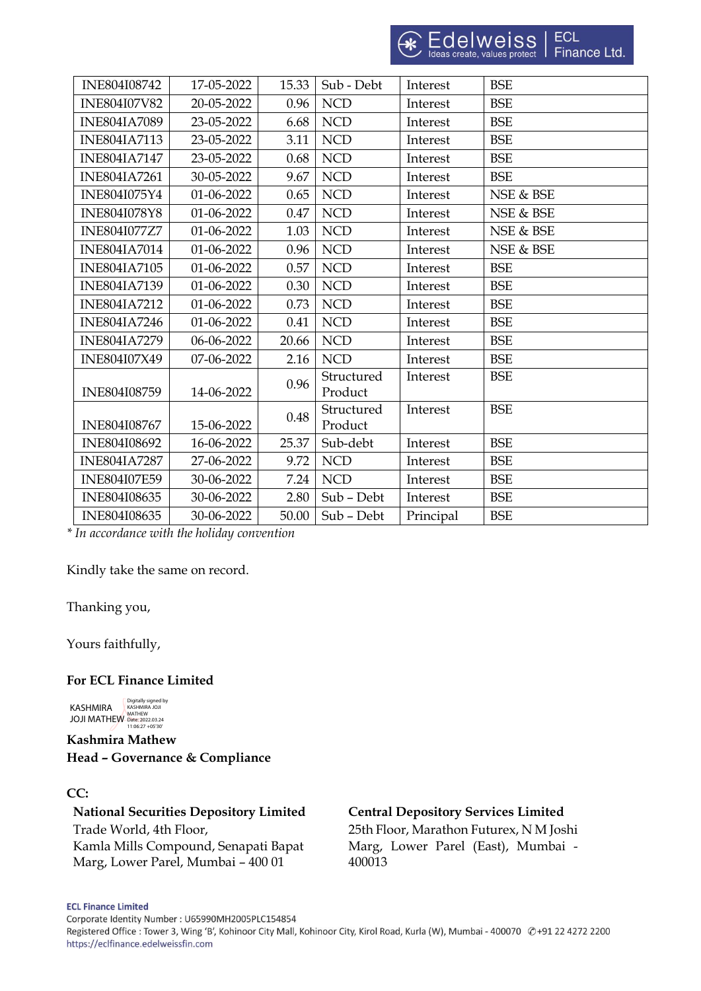| INE804I08742        | 17-05-2022 | 15.33 | Sub - Debt            | Interest  | <b>BSE</b> |
|---------------------|------------|-------|-----------------------|-----------|------------|
| <b>INE804I07V82</b> | 20-05-2022 | 0.96  | <b>NCD</b>            | Interest  | <b>BSE</b> |
| <b>INE804IA7089</b> | 23-05-2022 | 6.68  | <b>NCD</b>            | Interest  | <b>BSE</b> |
| <b>INE804IA7113</b> | 23-05-2022 | 3.11  | <b>NCD</b>            | Interest  | <b>BSE</b> |
| <b>INE804IA7147</b> | 23-05-2022 | 0.68  | <b>NCD</b>            | Interest  | <b>BSE</b> |
| <b>INE804IA7261</b> | 30-05-2022 | 9.67  | <b>NCD</b>            | Interest  | <b>BSE</b> |
| INE804I075Y4        | 01-06-2022 | 0.65  | <b>NCD</b>            | Interest  | NSE & BSE  |
| <b>INE804I078Y8</b> | 01-06-2022 | 0.47  | <b>NCD</b>            | Interest  | NSE & BSE  |
| <b>INE804I077Z7</b> | 01-06-2022 | 1.03  | <b>NCD</b>            | Interest  | NSE & BSE  |
| <b>INE804IA7014</b> | 01-06-2022 | 0.96  | <b>NCD</b>            | Interest  | NSE & BSE  |
| <b>INE804IA7105</b> | 01-06-2022 | 0.57  | <b>NCD</b>            | Interest  | <b>BSE</b> |
| <b>INE804IA7139</b> | 01-06-2022 | 0.30  | <b>NCD</b>            | Interest  | <b>BSE</b> |
| <b>INE804IA7212</b> | 01-06-2022 | 0.73  | <b>NCD</b>            | Interest  | <b>BSE</b> |
| <b>INE804IA7246</b> | 01-06-2022 | 0.41  | <b>NCD</b>            | Interest  | <b>BSE</b> |
| <b>INE804IA7279</b> | 06-06-2022 | 20.66 | <b>NCD</b>            | Interest  | <b>BSE</b> |
| <b>INE804I07X49</b> | 07-06-2022 | 2.16  | NCD                   | Interest  | <b>BSE</b> |
| INE804I08759        | 14-06-2022 | 0.96  | Structured<br>Product | Interest  | <b>BSE</b> |
| INE804I08767        | 15-06-2022 | 0.48  | Structured<br>Product | Interest  | <b>BSE</b> |
| INE804I08692        | 16-06-2022 | 25.37 | Sub-debt              | Interest  | <b>BSE</b> |
| <b>INE804IA7287</b> | 27-06-2022 | 9.72  | <b>NCD</b>            | Interest  | <b>BSE</b> |
| <b>INE804I07E59</b> | 30-06-2022 | 7.24  | <b>NCD</b>            | Interest  | <b>BSE</b> |
| INE804I08635        | 30-06-2022 | 2.80  | Sub - Debt            | Interest  | <b>BSE</b> |
| INE804I08635        | 30-06-2022 | 50.00 | Sub - Debt            | Principal | <b>BSE</b> |

*\* In accordance with the holiday convention*

Kindly take the same on record.

### Thanking you,

Yours faithfully,

### **For ECL Finance Limited**

KASHMIRA JOJI MATHEW Digitally signed by KASHMIRA JOJI MATHEW Date: 2022.03.24 11:06:27 +05'30'

**Kashmira Mathew Head – Governance & Compliance**

#### **CC:**

**National Securities Depository Limited Central Depository Services Limited** Trade World, 4th Floor, Kamla Mills Compound, Senapati Bapat Marg, Lower Parel, Mumbai – 400 01

25th Floor, Marathon Futurex, N M Joshi Marg, Lower Parel (East), Mumbai - 400013

Corporate Identity Number: U65990MH2005PLC154854

Registered Office : Tower 3, Wing 'B', Kohinoor City Mall, Kohinoor City, Kirol Road, Kurla (W), Mumbai - 400070 @+91 22 4272 2200 https://eclfinance.edelweissfin.com